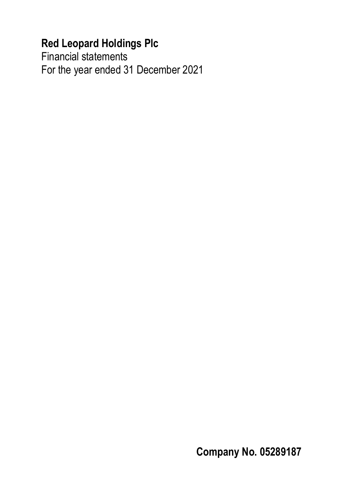# **Red Leopard Holdings Plc**

Financial statements For the year ended 31 December 2021

**Company No. 05289187**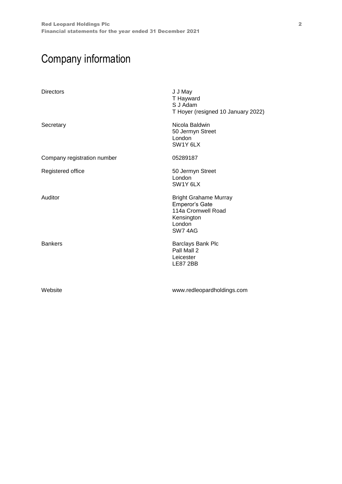# Company information

| <b>Directors</b>            | J J May<br>T Hayward<br>S J Adam<br>T Hoyer (resigned 10 January 2022)                                 |
|-----------------------------|--------------------------------------------------------------------------------------------------------|
| Secretary                   | Nicola Baldwin<br>50 Jermyn Street<br>London<br>SW1Y 6LX                                               |
| Company registration number | 05289187                                                                                               |
| Registered office           | 50 Jermyn Street<br>London<br>SW1Y 6LX                                                                 |
| Auditor                     | <b>Bright Grahame Murray</b><br>Emperor's Gate<br>114a Cromwell Road<br>Kensington<br>London<br>SW74AG |
| <b>Bankers</b>              | <b>Barclays Bank Plc</b><br>Pall Mall 2<br>Leicester<br><b>LE87 2BB</b>                                |
| Website                     | www.redleopardholdings.com                                                                             |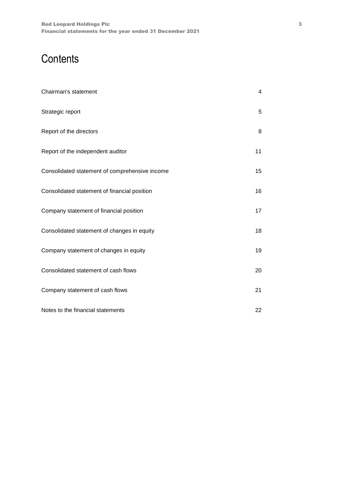## **Contents**

| Chairman's statement                           | $\overline{4}$ |
|------------------------------------------------|----------------|
| Strategic report                               | 5              |
| Report of the directors                        | 8              |
| Report of the independent auditor              | 11             |
| Consolidated statement of comprehensive income | 15             |
| Consolidated statement of financial position   | 16             |
| Company statement of financial position        | 17             |
| Consolidated statement of changes in equity    | 18             |
| Company statement of changes in equity         | 19             |
| Consolidated statement of cash flows           | 20             |
| Company statement of cash flows                | 21             |
| Notes to the financial statements              | 22             |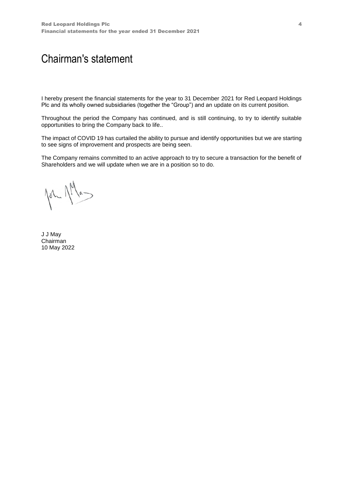## Chairman's statement

I hereby present the financial statements for the year to 31 December 2021 for Red Leopard Holdings Plc and its wholly owned subsidiaries (together the "Group") and an update on its current position.

Throughout the period the Company has continued, and is still continuing, to try to identify suitable opportunities to bring the Company back to life..

The impact of COVID 19 has curtailed the ability to pursue and identify opportunities but we are starting to see signs of improvement and prospects are being seen.

The Company remains committed to an active approach to try to secure a transaction for the benefit of Shareholders and we will update when we are in a position so to do.

 $\int_{0}^{\pi}\int_{0}^{\pi}\int_{0}^{\pi}$ 

J J May Chairman 10 May 2022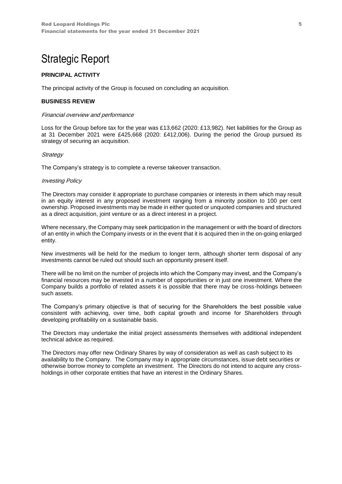## Strategic Report

## **PRINCIPAL ACTIVITY**

The principal activity of the Group is focused on concluding an acquisition.

#### **BUSINESS REVIEW**

#### Financial overview and performance

Loss for the Group before tax for the year was £13,662 (2020: £13,982). Net liabilities for the Group as at 31 December 2021 were £425,668 (2020: £412,006). During the period the Group pursued its strategy of securing an acquisition.

#### **Strategy**

The Company's strategy is to complete a reverse takeover transaction.

#### Investing Policy

The Directors may consider it appropriate to purchase companies or interests in them which may result in an equity interest in any proposed investment ranging from a minority position to 100 per cent ownership. Proposed investments may be made in either quoted or unquoted companies and structured as a direct acquisition, joint venture or as a direct interest in a project.

Where necessary, the Company may seek participation in the management or with the board of directors of an entity in which the Company invests or in the event that it is acquired then in the on-going enlarged entity.

New investments will be held for the medium to longer term, although shorter term disposal of any investments cannot be ruled out should such an opportunity present itself.

There will be no limit on the number of projects into which the Company may invest, and the Company's financial resources may be invested in a number of opportunities or in just one investment. Where the Company builds a portfolio of related assets it is possible that there may be cross-holdings between such assets.

The Company's primary objective is that of securing for the Shareholders the best possible value consistent with achieving, over time, both capital growth and income for Shareholders through developing profitability on a sustainable basis.

The Directors may undertake the initial project assessments themselves with additional independent technical advice as required.

The Directors may offer new Ordinary Shares by way of consideration as well as cash subject to its availability to the Company. The Company may in appropriate circumstances, issue debt securities or otherwise borrow money to complete an investment. The Directors do not intend to acquire any crossholdings in other corporate entities that have an interest in the Ordinary Shares.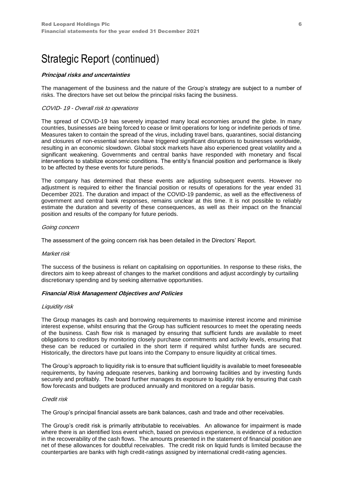## Strategic Report (continued)

#### **Principal risks and uncertainties**

The management of the business and the nature of the Group's strategy are subject to a number of risks. The directors have set out below the principal risks facing the business.

#### COVID- 19 - Overall risk to operations

The spread of COVID-19 has severely impacted many local economies around the globe. In many countries, businesses are being forced to cease or limit operations for long or indefinite periods of time. Measures taken to contain the spread of the virus, including travel bans, quarantines, social distancing and closures of non-essential services have triggered significant disruptions to businesses worldwide, resulting in an economic slowdown. Global stock markets have also experienced great volatility and a significant weakening. Governments and central banks have responded with monetary and fiscal interventions to stabilize economic conditions. The entity's financial position and performance is likely to be affected by these events for future periods.

The company has determined that these events are adjusting subsequent events. However no adjustment is required to either the financial position or results of operations for the year ended 31 December 2021. The duration and impact of the COVID-19 pandemic, as well as the effectiveness of government and central bank responses, remains unclear at this time. It is not possible to reliably estimate the duration and severity of these consequences, as well as their impact on the financial position and results of the company for future periods.

#### Going concern

The assessment of the going concern risk has been detailed in the Directors' Report.

#### Market risk

The success of the business is reliant on capitalising on opportunities. In response to these risks, the directors aim to keep abreast of changes to the market conditions and adjust accordingly by curtailing discretionary spending and by seeking alternative opportunities.

#### **Financial Risk Management Objectives and Policies**

#### Liquidity risk

The Group manages its cash and borrowing requirements to maximise interest income and minimise interest expense, whilst ensuring that the Group has sufficient resources to meet the operating needs of the business. Cash flow risk is managed by ensuring that sufficient funds are available to meet obligations to creditors by monitoring closely purchase commitments and activity levels, ensuring that these can be reduced or curtailed in the short term if required whilst further funds are secured. Historically, the directors have put loans into the Company to ensure liquidity at critical times.

The Group's approach to liquidity risk is to ensure that sufficient liquidity is available to meet foreseeable requirements, by having adequate reserves, banking and borrowing facilities and by investing funds securely and profitably. The board further manages its exposure to liquidity risk by ensuring that cash flow forecasts and budgets are produced annually and monitored on a regular basis.

### Credit risk

The Group's principal financial assets are bank balances, cash and trade and other receivables.

The Group's credit risk is primarily attributable to receivables. An allowance for impairment is made where there is an identified loss event which, based on previous experience, is evidence of a reduction in the recoverability of the cash flows. The amounts presented in the statement of financial position are net of these allowances for doubtful receivables. The credit risk on liquid funds is limited because the counterparties are banks with high credit-ratings assigned by international credit-rating agencies.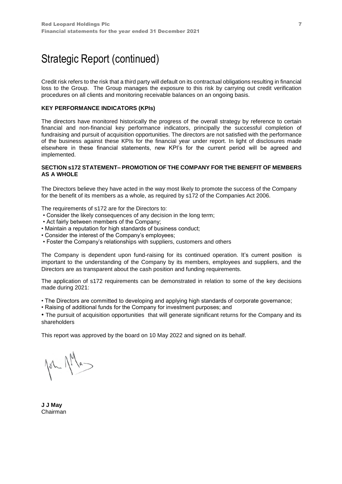## Strategic Report (continued)

Credit risk refers to the risk that a third party will default on its contractual obligations resulting in financial loss to the Group. The Group manages the exposure to this risk by carrying out credit verification procedures on all clients and monitoring receivable balances on an ongoing basis.

#### **KEY PERFORMANCE INDICATORS (KPIs)**

The directors have monitored historically the progress of the overall strategy by reference to certain financial and non-financial key performance indicators, principally the successful completion of fundraising and pursuit of acquisition opportunities. The directors are not satisfied with the performance of the business against these KPIs for the financial year under report. In light of disclosures made elsewhere in these financial statements, new KPI's for the current period will be agreed and implemented.

#### **SECTION s172 STATEMENT– PROMOTION OF THE COMPANY FOR THE BENEFIT OF MEMBERS AS A WHOLE**

The Directors believe they have acted in the way most likely to promote the success of the Company for the benefit of its members as a whole, as required by s172 of the Companies Act 2006.

The requirements of s172 are for the Directors to:

- Consider the likely consequences of any decision in the long term;
- Act fairly between members of the Company;
- Maintain a reputation for high standards of business conduct;
- Consider the interest of the Company's employees;
- Foster the Company's relationships with suppliers, customers and others

The Company is dependent upon fund-raising for its continued operation. It's current position is important to the understanding of the Company by its members, employees and suppliers, and the Directors are as transparent about the cash position and funding requirements.

The application of s172 requirements can be demonstrated in relation to some of the key decisions made during 2021:

• The Directors are committed to developing and applying high standards of corporate governance;

• Raising of additional funds for the Company for investment purposes; and

• The pursuit of acquisition opportunities that will generate significant returns for the Company and its shareholders

This report was approved by the board on 10 May 2022 and signed on its behalf.

 $\int_{0}^{\infty}\!\!\!\!\!\!\int_{0}^{\infty}\!\!\!\!\!\!\!\int_{0}^{\infty}\!\!\!\!\!\!\!\!\!\int_{0}^{\infty}$ 

**J J May** Chairman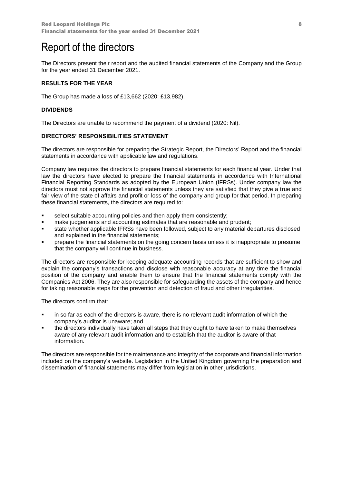## Report of the directors

The Directors present their report and the audited financial statements of the Company and the Group for the year ended 31 December 2021.

## **RESULTS FOR THE YEAR**

The Group has made a loss of £13,662 (2020: £13,982).

## **DIVIDENDS**

The Directors are unable to recommend the payment of a dividend (2020: Nil).

### **DIRECTORS' RESPONSIBILITIES STATEMENT**

The directors are responsible for preparing the Strategic Report, the Directors' Report and the financial statements in accordance with applicable law and regulations.

Company law requires the directors to prepare financial statements for each financial year. Under that law the directors have elected to prepare the financial statements in accordance with International Financial Reporting Standards as adopted by the European Union (IFRSs). Under company law the directors must not approve the financial statements unless they are satisfied that they give a true and fair view of the state of affairs and profit or loss of the company and group for that period. In preparing these financial statements, the directors are required to:

- select suitable accounting policies and then apply them consistently;
- make judgements and accounting estimates that are reasonable and prudent;
- state whether applicable IFRSs have been followed, subject to any material departures disclosed and explained in the financial statements;
- prepare the financial statements on the going concern basis unless it is inappropriate to presume that the company will continue in business.

The directors are responsible for keeping adequate accounting records that are sufficient to show and explain the company's transactions and disclose with reasonable accuracy at any time the financial position of the company and enable them to ensure that the financial statements comply with the Companies Act 2006. They are also responsible for safeguarding the assets of the company and hence for taking reasonable steps for the prevention and detection of fraud and other irregularities.

The directors confirm that:

- in so far as each of the directors is aware, there is no relevant audit information of which the company's auditor is unaware; and
- the directors individually have taken all steps that they ought to have taken to make themselves aware of any relevant audit information and to establish that the auditor is aware of that information.

The directors are responsible for the maintenance and integrity of the corporate and financial information included on the company's website. Legislation in the United Kingdom governing the preparation and dissemination of financial statements may differ from legislation in other jurisdictions.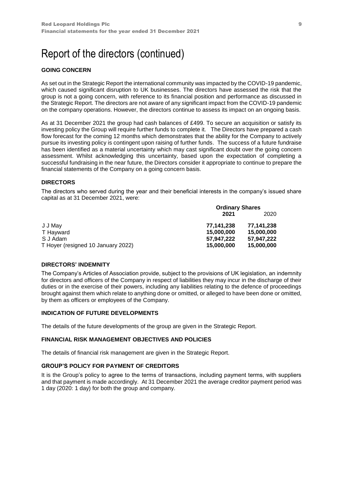## Report of the directors (continued)

## **GOING CONCERN**

As set out in the Strategic Report the international community was impacted by the COVID-19 pandemic, which caused significant disruption to UK businesses. The directors have assessed the risk that the group is not a going concern, with reference to its financial position and performance as discussed in the Strategic Report. The directors are not aware of any significant impact from the COVID-19 pandemic on the company operations. However, the directors continue to assess its impact on an ongoing basis.

As at 31 December 2021 the group had cash balances of £499. To secure an acquisition or satisfy its investing policy the Group will require further funds to complete it. The Directors have prepared a cash flow forecast for the coming 12 months which demonstrates that the ability for the Company to actively pursue its investing policy is contingent upon raising of further funds. The success of a future fundraise has been identified as a material uncertainty which may cast significant doubt over the going concern assessment. Whilst acknowledging this uncertainty, based upon the expectation of completing a successful fundraising in the near future, the Directors consider it appropriate to continue to prepare the financial statements of the Company on a going concern basis.

### **DIRECTORS**

The directors who served during the year and their beneficial interests in the company's issued share capital as at 31 December 2021, were:

|                                    | <b>Ordinary Shares</b> |            |  |
|------------------------------------|------------------------|------------|--|
|                                    | 2021                   | 2020       |  |
| J J May                            | 77.141.238             | 77,141,238 |  |
| T Hayward                          | 15,000,000             | 15,000,000 |  |
| S J Adam                           | 57.947.222             | 57.947.222 |  |
| T Hoyer (resigned 10 January 2022) | 15,000,000             | 15,000,000 |  |

#### **DIRECTORS' INDEMNITY**

The Company's Articles of Association provide, subject to the provisions of UK legislation, an indemnity for directors and officers of the Company in respect of liabilities they may incur in the discharge of their duties or in the exercise of their powers, including any liabilities relating to the defence of proceedings brought against them which relate to anything done or omitted, or alleged to have been done or omitted, by them as officers or employees of the Company.

#### **INDICATION OF FUTURE DEVELOPMENTS**

The details of the future developments of the group are given in the Strategic Report.

#### **FINANCIAL RISK MANAGEMENT OBJECTIVES AND POLICIES**

The details of financial risk management are given in the Strategic Report.

#### **GROUP'S POLICY FOR PAYMENT OF CREDITORS**

It is the Group's policy to agree to the terms of transactions, including payment terms, with suppliers and that payment is made accordingly. At 31 December 2021 the average creditor payment period was 1 day (2020: 1 day) for both the group and company.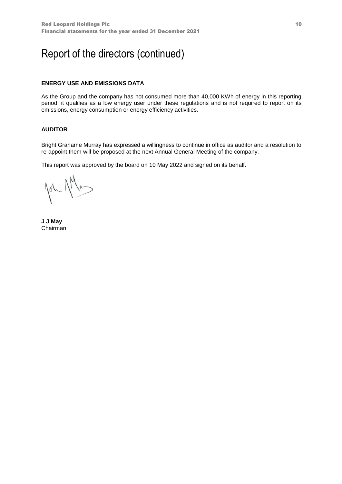## Report of the directors (continued)

### **ENERGY USE AND EMISSIONS DATA**

As the Group and the company has not consumed more than 40,000 KWh of energy in this reporting period, it qualifies as a low energy user under these regulations and is not required to report on its emissions, energy consumption or energy efficiency activities.

### **AUDITOR**

Bright Grahame Murray has expressed a willingness to continue in office as auditor and a resolution to re-appoint them will be proposed at the next Annual General Meeting of the company.

This report was approved by the board on 10 May 2022 and signed on its behalf.

 $10h$   $10/a$ 

**J J May** Chairman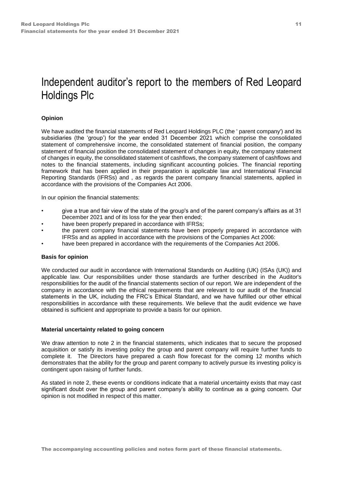## Independent auditor's report to the members of Red Leopard Holdings Plc

### **Opinion**

We have audited the financial statements of Red Leopard Holdings PLC (the ' parent company') and its subsidiaries (the 'group') for the year ended 31 December 2021 which comprise the consolidated statement of comprehensive income, the consolidated statement of financial position, the company statement of financial position the consolidated statement of changes in equity, the company statement of changes in equity, the consolidated statement of cashflows, the company statement of cashflows and notes to the financial statements, including significant accounting policies. The financial reporting framework that has been applied in their preparation is applicable law and International Financial Reporting Standards (IFRSs) and , as regards the parent company financial statements, applied in accordance with the provisions of the Companies Act 2006.

In our opinion the financial statements:

- give a true and fair view of the state of the group's and of the parent company's affairs as at 31 December 2021 and of its loss for the year then ended;
- have been properly prepared in accordance with IFRSs;
- the parent company financial statements have been properly prepared in accordance with IFRSs and as applied in accordance with the provisions of the Companies Act 2006:
- have been prepared in accordance with the requirements of the Companies Act 2006.

#### **Basis for opinion**

We conducted our audit in accordance with International Standards on Auditing (UK) (ISAs (UK)) and applicable law. Our responsibilities under those standards are further described in the Auditor's responsibilities for the audit of the financial statements section of our report. We are independent of the company in accordance with the ethical requirements that are relevant to our audit of the financial statements in the UK, including the FRC's Ethical Standard, and we have fulfilled our other ethical responsibilities in accordance with these requirements. We believe that the audit evidence we have obtained is sufficient and appropriate to provide a basis for our opinion.

#### **Material uncertainty related to going concern**

We draw attention to note 2 in the financial statements, which indicates that to secure the proposed acquisition or satisfy its investing policy the group and parent company will require further funds to complete it. The Directors have prepared a cash flow forecast for the coming 12 months which demonstrates that the ability for the group and parent company to actively pursue its investing policy is contingent upon raising of further funds.

As stated in note 2, these events or conditions indicate that a material uncertainty exists that may cast significant doubt over the group and parent company's ability to continue as a going concern. Our opinion is not modified in respect of this matter.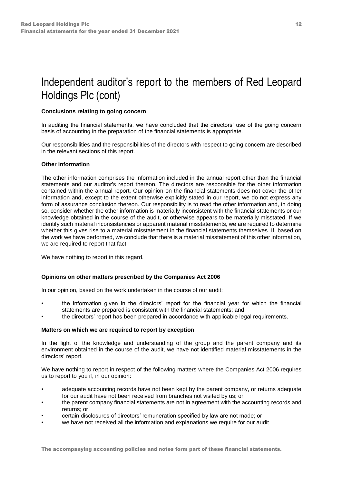## Independent auditor's report to the members of Red Leopard Holdings Plc (cont)

### **Conclusions relating to going concern**

In auditing the financial statements, we have concluded that the directors' use of the going concern basis of accounting in the preparation of the financial statements is appropriate.

Our responsibilities and the responsibilities of the directors with respect to going concern are described in the relevant sections of this report.

#### **Other information**

The other information comprises the information included in the annual report other than the financial statements and our auditor's report thereon. The directors are responsible for the other information contained within the annual report. Our opinion on the financial statements does not cover the other information and, except to the extent otherwise explicitly stated in our report, we do not express any form of assurance conclusion thereon. Our responsibility is to read the other information and, in doing so, consider whether the other information is materially inconsistent with the financial statements or our knowledge obtained in the course of the audit, or otherwise appears to be materially misstated. If we identify such material inconsistencies or apparent material misstatements, we are required to determine whether this gives rise to a material misstatement in the financial statements themselves. If, based on the work we have performed, we conclude that there is a material misstatement of this other information, we are required to report that fact.

We have nothing to report in this regard.

### **Opinions on other matters prescribed by the Companies Act 2006**

In our opinion, based on the work undertaken in the course of our audit:

- the information given in the directors' report for the financial year for which the financial statements are prepared is consistent with the financial statements; and
- the directors' report has been prepared in accordance with applicable legal requirements.

#### **Matters on which we are required to report by exception**

In the light of the knowledge and understanding of the group and the parent company and its environment obtained in the course of the audit, we have not identified material misstatements in the directors' report.

We have nothing to report in respect of the following matters where the Companies Act 2006 requires us to report to you if, in our opinion:

- adequate accounting records have not been kept by the parent company, or returns adequate for our audit have not been received from branches not visited by us; or
- the parent company financial statements are not in agreement with the accounting records and returns; or
- certain disclosures of directors' remuneration specified by law are not made; or
- we have not received all the information and explanations we require for our audit.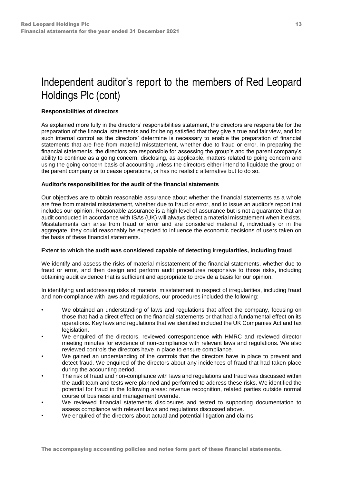## Independent auditor's report to the members of Red Leopard Holdings Plc (cont)

#### **Responsibilities of directors**

As explained more fully in the directors' responsibilities statement, the directors are responsible for the preparation of the financial statements and for being satisfied that they give a true and fair view, and for such internal control as the directors' determine is necessary to enable the preparation of financial statements that are free from material misstatement, whether due to fraud or error. In preparing the financial statements, the directors are responsible for assessing the group's and the parent company's ability to continue as a going concern, disclosing, as applicable, matters related to going concern and using the going concern basis of accounting unless the directors either intend to liquidate the group or the parent company or to cease operations, or has no realistic alternative but to do so.

#### **Auditor's responsibilities for the audit of the financial statements**

Our objectives are to obtain reasonable assurance about whether the financial statements as a whole are free from material misstatement, whether due to fraud or error, and to issue an auditor's report that includes our opinion. Reasonable assurance is a high level of assurance but is not a guarantee that an audit conducted in accordance with ISAs (UK) will always detect a material misstatement when it exists. Misstatements can arise from fraud or error and are considered material if, individually or in the aggregate, they could reasonably be expected to influence the economic decisions of users taken on the basis of these financial statements.

#### **Extent to which the audit was considered capable of detecting irregularities, including fraud**

We identify and assess the risks of material misstatement of the financial statements, whether due to fraud or error, and then design and perform audit procedures responsive to those risks, including obtaining audit evidence that is sufficient and appropriate to provide a basis for our opinion.

In identifying and addressing risks of material misstatement in respect of irregularities, including fraud and non-compliance with laws and regulations, our procedures included the following:

- **•** We obtained an understanding of laws and regulations that affect the company, focusing on those that had a direct effect on the financial statements or that had a fundamental effect on its operations. Key laws and regulations that we identified included the UK Companies Act and tax legislation.
- We enquired of the directors, reviewed correspondence with HMRC and reviewed director meeting minutes for evidence of non-compliance with relevant laws and regulations. We also reviewed controls the directors have in place to ensure compliance.
- We gained an understanding of the controls that the directors have in place to prevent and detect fraud. We enquired of the directors about any incidences of fraud that had taken place during the accounting period.
- The risk of fraud and non-compliance with laws and regulations and fraud was discussed within the audit team and tests were planned and performed to address these risks. We identified the potential for fraud in the following areas: revenue recognition, related parties outside normal course of business and management override.
- We reviewed financial statements disclosures and tested to supporting documentation to assess compliance with relevant laws and regulations discussed above.
- We enquired of the directors about actual and potential litigation and claims.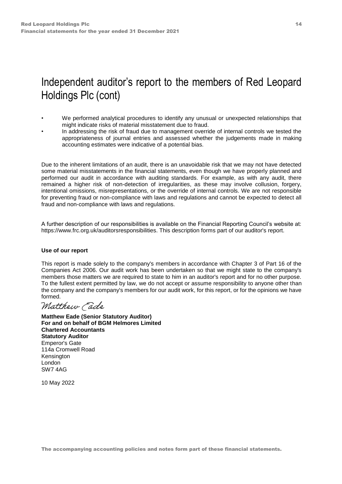## Independent auditor's report to the members of Red Leopard Holdings Plc (cont)

- We performed analytical procedures to identify any unusual or unexpected relationships that might indicate risks of material misstatement due to fraud.
- In addressing the risk of fraud due to management override of internal controls we tested the appropriateness of journal entries and assessed whether the judgements made in making accounting estimates were indicative of a potential bias.

Due to the inherent limitations of an audit, there is an unavoidable risk that we may not have detected some material misstatements in the financial statements, even though we have properly planned and performed our audit in accordance with auditing standards. For example, as with any audit, there remained a higher risk of non-detection of irregularities, as these may involve collusion, forgery, intentional omissions, misrepresentations, or the override of internal controls. We are not responsible for preventing fraud or non-compliance with laws and regulations and cannot be expected to detect all fraud and non-compliance with laws and regulations.

A further description of our responsibilities is available on the Financial Reporting Council's website at: https://www.frc.org.uk/auditorsresponsibilities. This description forms part of our auditor's report.

#### **Use of our report**

This report is made solely to the company's members in accordance with Chapter 3 of Part 16 of the Companies Act 2006. Our audit work has been undertaken so that we might state to the company's members those matters we are required to state to him in an auditor's report and for no other purpose. To the fullest extent permitted by law, we do not accept or assume responsibility to anyone other than the company and the company's members for our audit work, for this report, or for the opinions we have formed.

Matthew (ade

**Matthew Eade (Senior Statutory Auditor) For and on behalf of BGM Helmores Limited Chartered Accountants Statutory Auditor** Emperor's Gate 114a Cromwell Road **Kensington** London SW7 4AG

10 May 2022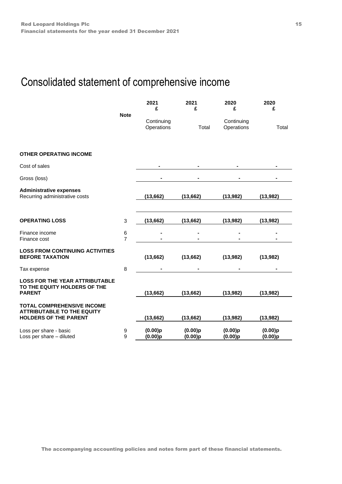# Consolidated statement of comprehensive income

|                                                                                                        |                           | 2021<br>£                | 2021<br>£                | 2020<br>£                | 2020<br>£                |
|--------------------------------------------------------------------------------------------------------|---------------------------|--------------------------|--------------------------|--------------------------|--------------------------|
|                                                                                                        | <b>Note</b>               | Continuing<br>Operations | Total                    | Continuing<br>Operations | Total                    |
| <b>OTHER OPERATING INCOME</b>                                                                          |                           |                          |                          |                          |                          |
| Cost of sales                                                                                          |                           |                          |                          |                          |                          |
| Gross (loss)                                                                                           |                           |                          |                          |                          |                          |
| <b>Administrative expenses</b><br>Recurring administrative costs                                       |                           | (13, 662)                | (13, 662)                | (13,982)                 | (13, 982)                |
| <b>OPERATING LOSS</b>                                                                                  | 3                         | (13, 662)                | (13, 662)                | (13,982)                 | (13,982)                 |
| Finance income<br>Finance cost                                                                         | $\,6\,$<br>$\overline{7}$ |                          |                          |                          |                          |
| <b>LOSS FROM CONTINUING ACTIVITIES</b><br><b>BEFORE TAXATION</b>                                       |                           | (13, 662)                | (13, 662)                | (13,982)                 | (13,982)                 |
| Tax expense                                                                                            | 8                         |                          |                          |                          |                          |
| <b>LOSS FOR THE YEAR ATTRIBUTABLE</b><br>TO THE EQUITY HOLDERS OF THE<br><b>PARENT</b>                 |                           | (13, 662)                | (13, 662)                | (13,982)                 | (13, 982)                |
| <b>TOTAL COMPREHENSIVE INCOME</b><br><b>ATTRIBUTABLE TO THE EQUITY</b><br><b>HOLDERS OF THE PARENT</b> |                           | (13, 662)                | (13, 662)                | (13,982)                 | (13, 982)                |
| Loss per share - basic<br>Loss per share - diluted                                                     | 9<br>9                    | $(0.00)$ p<br>$(0.00)$ p | $(0.00)$ p<br>$(0.00)$ p | $(0.00)$ p<br>$(0.00)$ p | $(0.00)$ p<br>$(0.00)$ p |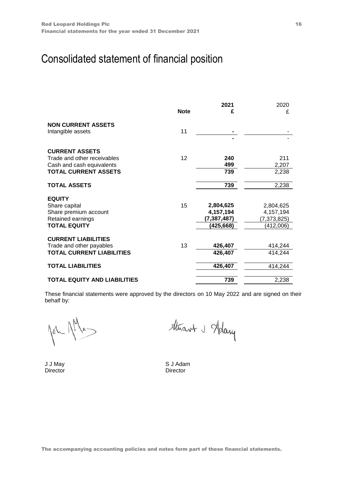## Consolidated statement of financial position

|                                                | <b>Note</b> | 2021<br>£     | 2020<br>£     |
|------------------------------------------------|-------------|---------------|---------------|
| <b>NON CURRENT ASSETS</b><br>Intangible assets | 11          |               |               |
|                                                |             |               |               |
| <b>CURRENT ASSETS</b>                          |             |               |               |
| Trade and other receivables                    | 12          | 240           | 211           |
| Cash and cash equivalents                      |             | 499           | 2,207         |
| <b>TOTAL CURRENT ASSETS</b>                    |             | 739           | 2,238         |
| <b>TOTAL ASSETS</b>                            |             | 739           | 2,238         |
| <b>EQUITY</b>                                  |             |               |               |
| Share capital                                  | 15          | 2,804,625     | 2,804,625     |
| Share premium account                          |             | 4,157,194     | 4,157,194     |
| Retained earnings                              |             | (7, 387, 487) | (7, 373, 825) |
| <b>TOTAL EQUITY</b>                            |             | (425,668)     | (412,006)     |
| <b>CURRENT LIABILITIES</b>                     |             |               |               |
| Trade and other payables                       | 13          | 426,407       | 414,244       |
| <b>TOTAL CURRENT LIABILITIES</b>               |             | 426,407       | 414,244       |
| <b>TOTAL LIABILITIES</b>                       |             | 426,407       | 414,244       |
| <b>TOTAL EQUITY AND LIABILITIES</b>            |             | 739           | 2,238         |

These financial statements were approved by the directors on 10 May 2022 and are signed on their behalf by:

 $\sqrt{\frac{2}{n}}$ 

Strant J. Adam

J J May S J Adam<br>Director Director Director Director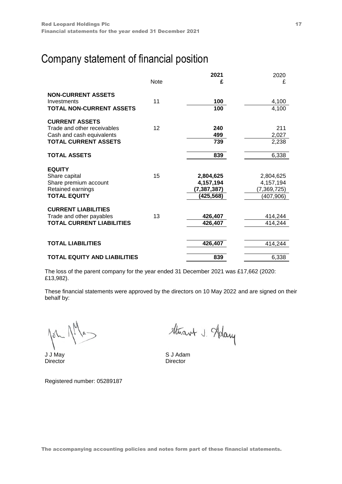## Company statement of financial position

|                                                                                                                  | <b>Note</b> | 2021<br>£                                          | 2020<br>£                                          |
|------------------------------------------------------------------------------------------------------------------|-------------|----------------------------------------------------|----------------------------------------------------|
| <b>NON-CURRENT ASSETS</b><br>Investments<br><b>TOTAL NON-CURRENT ASSETS</b>                                      | 11          | 100<br>100                                         | 4,100<br>4,100                                     |
| <b>CURRENT ASSETS</b><br>Trade and other receivables<br>Cash and cash equivalents<br><b>TOTAL CURRENT ASSETS</b> | 12          | 240<br>499<br>739                                  | 211<br>2,027<br>2,238                              |
| <b>TOTAL ASSETS</b>                                                                                              |             | 839                                                | 6,338                                              |
| <b>EQUITY</b><br>Share capital<br>Share premium account<br>Retained earnings<br><b>TOTAL EQUITY</b>              | 15          | 2,804,625<br>4,157,194<br>(7,387,387)<br>(425,568) | 2,804,625<br>4,157,194<br>(7,369,725)<br>(407,906) |
| <b>CURRENT LIABILITIES</b><br>Trade and other payables<br><b>TOTAL CURRENT LIABILITIES</b>                       | 13          | 426,407<br>426,407                                 | 414,244<br>414,244                                 |
| <b>TOTAL LIABILITIES</b>                                                                                         |             | 426,407                                            | 414,244                                            |
| <b>TOTAL EQUITY AND LIABILITIES</b>                                                                              |             | 839                                                | 6,338                                              |

The loss of the parent company for the year ended 31 December 2021 was £17,662 (2020: £13,982).

These financial statements were approved by the directors on 10 May 2022 and are signed on their behalf by:

Director Director

Registered number: 05289187

thant J. Adam

J J May S J Adam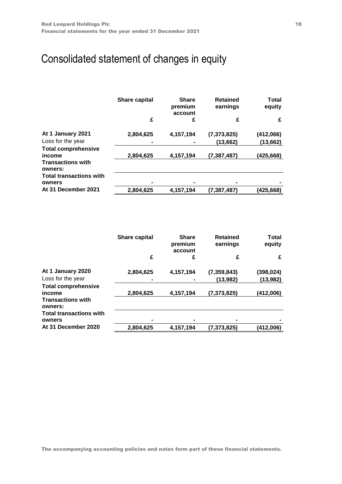# Consolidated statement of changes in equity

|                                          | <b>Share capital</b> | <b>Share</b><br>premium<br>account | <b>Retained</b><br>earnings | Total<br>equity |
|------------------------------------------|----------------------|------------------------------------|-----------------------------|-----------------|
|                                          | £                    | £                                  | £                           | £               |
| At 1 January 2021                        | 2,804,625            | 4,157,194                          | (7, 373, 825)               | (412,066)       |
| Loss for the year                        |                      |                                    | (13, 662)                   | (13,662)        |
| <b>Total comprehensive</b><br>income     | 2,804,625            | 4,157,194                          | (7,387,487)                 | (425,668)       |
| <b>Transactions with</b><br>owners:      |                      |                                    |                             |                 |
| <b>Total transactions with</b><br>owners |                      |                                    |                             |                 |
| At 31 December 2021                      | 2,804,625            | 4,157,194                          | (7, 387, 487)               | (425,668)       |

|                                          | Share capital | <b>Share</b><br>premium<br>account | Retained<br>earnings | Total<br>equity |
|------------------------------------------|---------------|------------------------------------|----------------------|-----------------|
|                                          | £             | £                                  | £                    | £               |
| At 1 January 2020                        | 2,804,625     | 4,157,194                          | (7, 359, 843)        | (398,024)       |
| Loss for the year                        |               |                                    | (13,982)             | (13,982)        |
| <b>Total comprehensive</b>               |               |                                    |                      |                 |
| income                                   | 2,804,625     | 4,157,194                          | (7, 373, 825)        | (412,006)       |
| <b>Transactions with</b><br>owners:      |               |                                    |                      |                 |
| <b>Total transactions with</b><br>owners |               |                                    |                      |                 |
| At 31 December 2020                      | 2,804,625     | 4,157,194                          | (7,373,825)          | (412.006)       |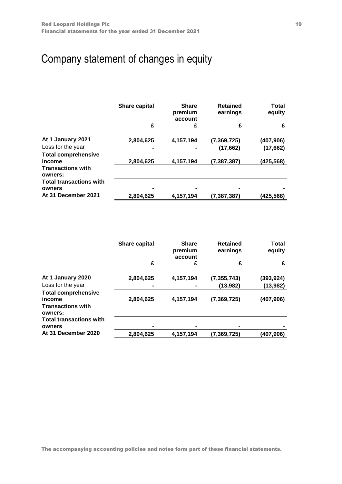# Company statement of changes in equity

|                                     | Share capital | <b>Share</b><br>premium<br>account | <b>Retained</b><br>earnings | Total<br>equity |
|-------------------------------------|---------------|------------------------------------|-----------------------------|-----------------|
|                                     | £             | £                                  | £                           | £               |
| At 1 January 2021                   | 2,804,625     | 4,157,194                          | (7, 369, 725)               | (407, 906)      |
| Loss for the year                   |               |                                    | (17,662)                    | (17,662)        |
| <b>Total comprehensive</b>          |               |                                    |                             |                 |
| income                              | 2,804,625     | 4,157,194                          | (7,387,387)                 | (425,568)       |
| <b>Transactions with</b><br>owners: |               |                                    |                             |                 |
| <b>Total transactions with</b>      |               |                                    |                             |                 |
| owners                              |               |                                    |                             |                 |
| At 31 December 2021                 | 2.804.625     | 4,157,194                          | (7.387.387)                 | (425,568)       |

|                                          | <b>Share capital</b> | <b>Share</b><br>premium<br>account | <b>Retained</b><br>earnings | Total<br>equity         |
|------------------------------------------|----------------------|------------------------------------|-----------------------------|-------------------------|
|                                          | £                    | £                                  | £                           | £                       |
| At 1 January 2020<br>Loss for the year   | 2,804,625            | 4,157,194                          | (7, 355, 743)<br>(13,982)   | (393, 924)<br>(13, 982) |
| <b>Total comprehensive</b><br>income     | 2,804,625            | 4,157,194                          | (7,369,725)                 | (407,906)               |
| <b>Transactions with</b><br>owners:      |                      |                                    |                             |                         |
| <b>Total transactions with</b><br>owners |                      |                                    |                             |                         |
| At 31 December 2020                      | 2,804,625            | 4,157,194                          | (7,369,725)                 | (407,906)               |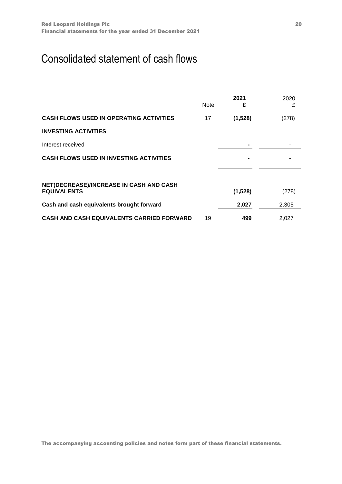## Consolidated statement of cash flows

|                                                               | Note | 2021<br>£ | 2020<br>£ |
|---------------------------------------------------------------|------|-----------|-----------|
| <b>CASH FLOWS USED IN OPERATING ACTIVITIES</b>                | 17   | (1,528)   | (278)     |
| <b>INVESTING ACTIVITIES</b>                                   |      |           |           |
| Interest received                                             |      |           |           |
| <b>CASH FLOWS USED IN INVESTING ACTIVITIES</b>                |      |           |           |
|                                                               |      |           |           |
| NET(DECREASE)/INCREASE IN CASH AND CASH<br><b>EQUIVALENTS</b> |      | (1,528)   | (278)     |
| Cash and cash equivalents brought forward                     |      | 2,027     | 2,305     |
| CASH AND CASH EQUIVALENTS CARRIED FORWARD                     | 19   | 499       | 2,027     |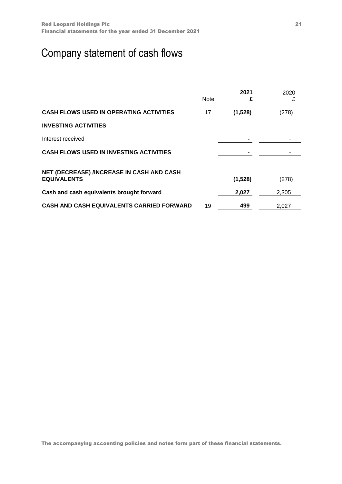# Company statement of cash flows

|                                                                 | <b>Note</b> | 2021<br>£ | 2020<br>£ |
|-----------------------------------------------------------------|-------------|-----------|-----------|
| <b>CASH FLOWS USED IN OPERATING ACTIVITIES</b>                  | 17          | (1,528)   | (278)     |
| <b>INVESTING ACTIVITIES</b>                                     |             |           |           |
| Interest received                                               |             |           |           |
| <b>CASH FLOWS USED IN INVESTING ACTIVITIES</b>                  |             |           |           |
| NET (DECREASE) /INCREASE IN CASH AND CASH<br><b>EQUIVALENTS</b> |             | (1,528)   | (278)     |
| Cash and cash equivalents brought forward                       |             | 2,027     | 2,305     |
| CASH AND CASH EQUIVALENTS CARRIED FORWARD                       | 19          | 499       | 2,027     |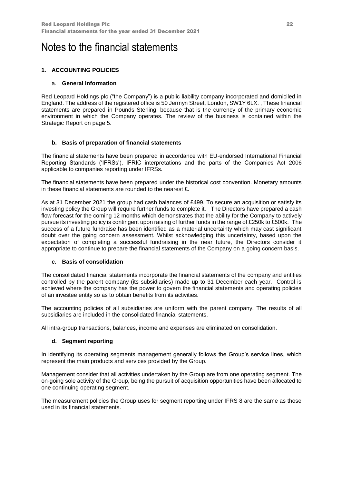## **1. ACCOUNTING POLICIES**

## a. **General Information**

Red Leopard Holdings plc ("the Company") is a public liability company incorporated and domiciled in England. The address of the registered office is 50 Jermyn Street, London, SW1Y 6LX. , These financial statements are prepared in Pounds Sterling, because that is the currency of the primary economic environment in which the Company operates. The review of the business is contained within the Strategic Report on page 5.

## **b. Basis of preparation of financial statements**

The financial statements have been prepared in accordance with EU-endorsed International Financial Reporting Standards ('IFRSs'), IFRIC interpretations and the parts of the Companies Act 2006 applicable to companies reporting under IFRSs.

The financial statements have been prepared under the historical cost convention. Monetary amounts in these financial statements are rounded to the nearest £.

As at 31 December 2021 the group had cash balances of £499. To secure an acquisition or satisfy its investing policy the Group will require further funds to complete it. The Directors have prepared a cash flow forecast for the coming 12 months which demonstrates that the ability for the Company to actively pursue its investing policy is contingent upon raising of further funds in the range of £250k to £500k. The success of a future fundraise has been identified as a material uncertainty which may cast significant doubt over the going concern assessment. Whilst acknowledging this uncertainty, based upon the expectation of completing a successful fundraising in the near future, the Directors consider it appropriate to continue to prepare the financial statements of the Company on a going concern basis.

### **c. Basis of consolidation**

The consolidated financial statements incorporate the financial statements of the company and entities controlled by the parent company (its subsidiaries) made up to 31 December each year. Control is achieved where the company has the power to govern the financial statements and operating policies of an investee entity so as to obtain benefits from its activities.

The accounting policies of all subsidiaries are uniform with the parent company. The results of all subsidiaries are included in the consolidated financial statements.

All intra-group transactions, balances, income and expenses are eliminated on consolidation.

### **d. Segment reporting**

In identifying its operating segments management generally follows the Group's service lines, which represent the main products and services provided by the Group.

Management consider that all activities undertaken by the Group are from one operating segment. The on-going sole activity of the Group, being the pursuit of acquisition opportunities have been allocated to one continuing operating segment.

The measurement policies the Group uses for segment reporting under IFRS 8 are the same as those used in its financial statements.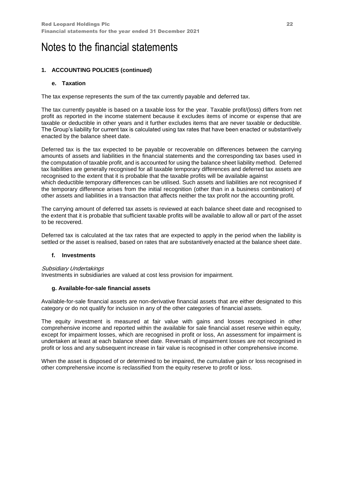## **1. ACCOUNTING POLICIES (continued)**

## **e. Taxation**

The tax expense represents the sum of the tax currently payable and deferred tax.

The tax currently payable is based on a taxable loss for the year. Taxable profit/(loss) differs from net profit as reported in the income statement because it excludes items of income or expense that are taxable or deductible in other years and it further excludes items that are never taxable or deductible. The Group's liability for current tax is calculated using tax rates that have been enacted or substantively enacted by the balance sheet date.

Deferred tax is the tax expected to be payable or recoverable on differences between the carrying amounts of assets and liabilities in the financial statements and the corresponding tax bases used in the computation of taxable profit, and is accounted for using the balance sheet liability method. Deferred tax liabilities are generally recognised for all taxable temporary differences and deferred tax assets are recognised to the extent that it is probable that the taxable profits will be available against which deductible temporary differences can be utilised. Such assets and liabilities are not recognised if the temporary difference arises from the initial recognition (other than in a business combination) of other assets and liabilities in a transaction that affects neither the tax profit nor the accounting profit.

The carrying amount of deferred tax assets is reviewed at each balance sheet date and recognised to the extent that it is probable that sufficient taxable profits will be available to allow all or part of the asset to be recovered.

Deferred tax is calculated at the tax rates that are expected to apply in the period when the liability is settled or the asset is realised, based on rates that are substantively enacted at the balance sheet date.

### **f. Investments**

#### Subsidiary Undertakings

Investments in subsidiaries are valued at cost less provision for impairment.

#### **g. Available-for-sale financial assets**

Available-for-sale financial assets are non-derivative financial assets that are either designated to this category or do not qualify for inclusion in any of the other categories of financial assets.

The equity investment is measured at fair value with gains and losses recognised in other comprehensive income and reported within the available for sale financial asset reserve within equity, except for impairment losses, which are recognised in profit or loss, An assessment for impairment is undertaken at least at each balance sheet date. Reversals of impairment losses are not recognised in profit or loss and any subsequent increase in fair value is recognised in other comprehensive income.

When the asset is disposed of or determined to be impaired, the cumulative gain or loss recognised in other comprehensive income is reclassified from the equity reserve to profit or loss.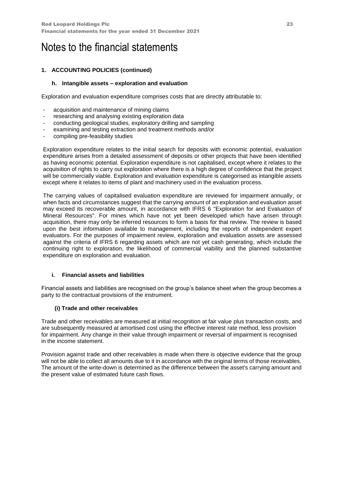## **1. ACCOUNTING POLICIES (continued)**

### **h. Intangible assets – exploration and evaluation**

Exploration and evaluation expenditure comprises costs that are directly attributable to:

- acquisition and maintenance of mining claims
- researching and analysing existing exploration data
- conducting geological studies, exploratory drilling and sampling
- examining and testing extraction and treatment methods and/or
- compiling pre-feasibility studies

Exploration expenditure relates to the initial search for deposits with economic potential, evaluation expenditure arises from a detailed assessment of deposits or other projects that have been identified as having economic potential. Exploration expenditure is not capitalised, except where it relates to the acquisition of rights to carry out exploration where there is a high degree of confidence that the project will be commercially viable. Exploration and evaluation expenditure is categorised as intangible assets except where it relates to items of plant and machinery used in the evaluation process.

The carrying values of capitalised evaluation expenditure are reviewed for impairment annually, or when facts and circumstances suggest that the carrying amount of an exploration and evaluation asset may exceed its recoverable amount, in accordance with IFRS 6 "Exploration for and Evaluation of Mineral Resources". For mines which have not yet been developed which have arisen through acquisition, there may only be inferred resources to form a basis for that review. The review is based upon the best information available to management, including the reports of independent expert evaluators. For the purposes of impairment review, exploration and evaluation assets are assessed against the criteria of IFRS 6 regarding assets which are not yet cash generating, which include the continuing right to exploration, the likelihood of commercial viability and the planned substantive expenditure on exploration and evaluation.

### **i. Financial assets and liabilities**

Financial assets and liabilities are recognised on the group's balance sheet when the group becomes a party to the contractual provisions of the instrument.

#### **(i) Trade and other receivables**

Trade and other receivables are measured at initial recognition at fair value plus transaction costs, and are subsequently measured at amortised cost using the effective interest rate method, less provision for impairment. Any change in their value through impairment or reversal of impairment is recognised in the income statement.

Provision against trade and other receivables is made when there is objective evidence that the group will not be able to collect all amounts due to it in accordance with the original terms of those receivables. The amount of the write-down is determined as the difference between the asset's carrying amount and the present value of estimated future cash flows.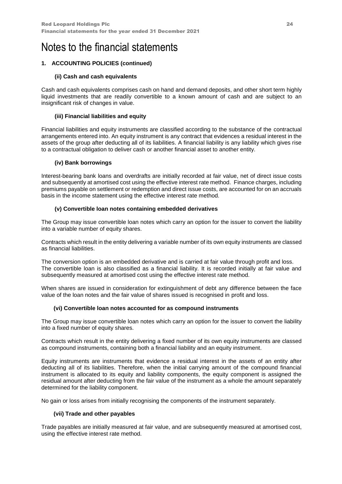## **1. ACCOUNTING POLICIES (continued)**

## **(ii) Cash and cash equivalents**

Cash and cash equivalents comprises cash on hand and demand deposits, and other short term highly liquid investments that are readily convertible to a known amount of cash and are subject to an insignificant risk of changes in value.

## **(iii) Financial liabilities and equity**

Financial liabilities and equity instruments are classified according to the substance of the contractual arrangements entered into. An equity instrument is any contract that evidences a residual interest in the assets of the group after deducting all of its liabilities. A financial liability is any liability which gives rise to a contractual obligation to deliver cash or another financial asset to another entity.

### **(iv) Bank borrowings**

Interest-bearing bank loans and overdrafts are initially recorded at fair value, net of direct issue costs and subsequently at amortised cost using the effective interest rate method. Finance charges, including premiums payable on settlement or redemption and direct issue costs, are accounted for on an accruals basis in the income statement using the effective interest rate method.

## **(v) Convertible loan notes containing embedded derivatives**

The Group may issue convertible loan notes which carry an option for the issuer to convert the liability into a variable number of equity shares.

Contracts which result in the entity delivering a variable number of its own equity instruments are classed as financial liabilities.

The conversion option is an embedded derivative and is carried at fair value through profit and loss. The convertible loan is also classified as a financial liability. It is recorded initially at fair value and subsequently measured at amortised cost using the effective interest rate method.

When shares are issued in consideration for extinguishment of debt any difference between the face value of the loan notes and the fair value of shares issued is recognised in profit and loss.

### **(vi) Convertible loan notes accounted for as compound instruments**

The Group may issue convertible loan notes which carry an option for the issuer to convert the liability into a fixed number of equity shares.

Contracts which result in the entity delivering a fixed number of its own equity instruments are classed as compound instruments, containing both a financial liability and an equity instrument.

Equity instruments are instruments that evidence a residual interest in the assets of an entity after deducting all of its liabilities. Therefore, when the initial carrying amount of the compound financial instrument is allocated to its equity and liability components, the equity component is assigned the residual amount after deducting from the fair value of the instrument as a whole the amount separately determined for the liability component.

No gain or loss arises from initially recognising the components of the instrument separately.

### **(vii) Trade and other payables**

Trade payables are initially measured at fair value, and are subsequently measured at amortised cost, using the effective interest rate method.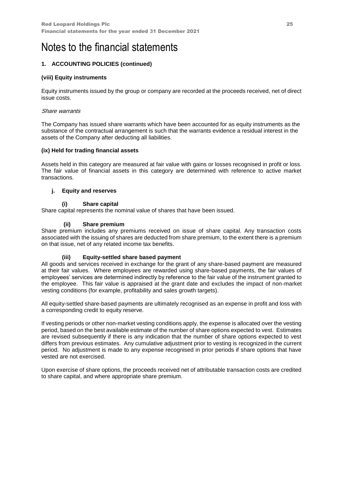## **1. ACCOUNTING POLICIES (continued)**

### **(viii) Equity instruments**

Equity instruments issued by the group or company are recorded at the proceeds received, net of direct issue costs.

#### Share warrants

The Company has issued share warrants which have been accounted for as equity instruments as the substance of the contractual arrangement is such that the warrants evidence a residual interest in the assets of the Company after deducting all liabilities.

### **(ix) Held for trading financial assets**

Assets held in this category are measured at fair value with gains or losses recognised in profit or loss. The fair value of financial assets in this category are determined with reference to active market transactions.

### **j. Equity and reserves**

### **(i) Share capital**

Share capital represents the nominal value of shares that have been issued.

### **(ii) Share premium**

Share premium includes any premiums received on issue of share capital. Any transaction costs associated with the issuing of shares are deducted from share premium, to the extent there is a premium on that issue, net of any related income tax benefits.

### **(iii) Equity-settled share based payment**

All goods and services received in exchange for the grant of any share-based payment are measured at their fair values. Where employees are rewarded using share-based payments, the fair values of employees' services are determined indirectly by reference to the fair value of the instrument granted to the employee. This fair value is appraised at the grant date and excludes the impact of non-market vesting conditions (for example, profitability and sales growth targets).

All equity-settled share-based payments are ultimately recognised as an expense in profit and loss with a corresponding credit to equity reserve.

If vesting periods or other non-market vesting conditions apply, the expense is allocated over the vesting period, based on the best available estimate of the number of share options expected to vest. Estimates are revised subsequently if there is any indication that the number of share options expected to vest differs from previous estimates. Any cumulative adjustment prior to vesting is recognized in the current period. No adjustment is made to any expense recognised in prior periods if share options that have vested are not exercised.

Upon exercise of share options, the proceeds received net of attributable transaction costs are credited to share capital, and where appropriate share premium.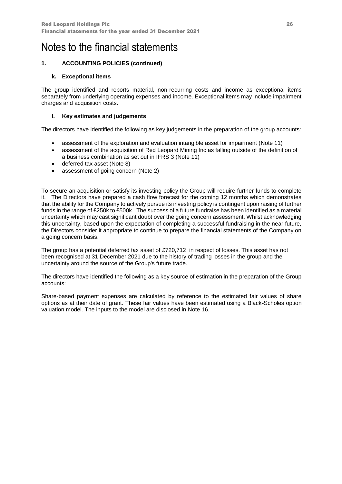## **1. ACCOUNTING POLICIES (continued)**

## **k. Exceptional items**

The group identified and reports material, non-recurring costs and income as exceptional items separately from underlying operating expenses and income. Exceptional items may include impairment charges and acquisition costs.

## **l. Key estimates and judgements**

The directors have identified the following as key judgements in the preparation of the group accounts:

- assessment of the exploration and evaluation intangible asset for impairment (Note 11)
- assessment of the acquisition of Red Leopard Mining Inc as falling outside of the definition of a business combination as set out in IFRS 3 (Note 11)
- deferred tax asset (Note 8)
- assessment of going concern (Note 2)

To secure an acquisition or satisfy its investing policy the Group will require further funds to complete it. The Directors have prepared a cash flow forecast for the coming 12 months which demonstrates that the ability for the Company to actively pursue its investing policy is contingent upon raising of further funds in the range of £250k to £500k. The success of a future fundraise has been identified as a material uncertainty which may cast significant doubt over the going concern assessment. Whilst acknowledging this uncertainty, based upon the expectation of completing a successful fundraising in the near future, the Directors consider it appropriate to continue to prepare the financial statements of the Company on a going concern basis.

The group has a potential deferred tax asset of £720,712 in respect of losses. This asset has not been recognised at 31 December 2021 due to the history of trading losses in the group and the uncertainty around the source of the Group's future trade.

The directors have identified the following as a key source of estimation in the preparation of the Group accounts:

Share-based payment expenses are calculated by reference to the estimated fair values of share options as at their date of grant. These fair values have been estimated using a Black-Scholes option valuation model. The inputs to the model are disclosed in Note 16.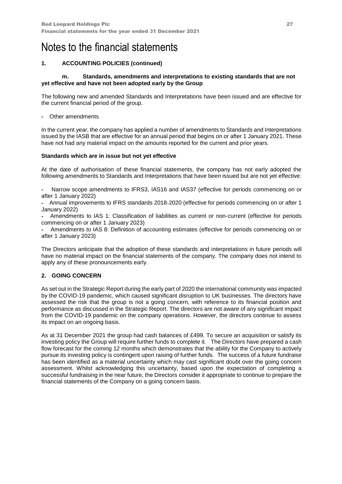## **1. ACCOUNTING POLICIES (continued)**

### **m. Standards, amendments and interpretations to existing standards that are not yet effective and have not been adopted early by the Group**

The following new and amended Standards and Interpretations have been issued and are effective for the current financial period of the group.

‐Other amendments

In the current year, the company has applied a number of amendments to Standards and Interpretations issued by the IASB that are effective for an annual period that begins on or after 1 January 2021. These have not had any material impact on the amounts reported for the current and prior years.

### **Standards which are in issue but not yet effective**

At the date of authorisation of these financial statements, the company has not early adopted the following amendments to Standards and Interpretations that have been issued but are not yet effective:

‐Narrow scope amendments to IFRS3, IAS16 and IAS37 (effective for periods commencing on or after 1 January 2022)

‐Annual improvements to IFRS standards 2018‐2020 (effective for periods commencing on or after 1 January 2022)

‐Amendments to IAS 1: Classification of liabilities as current or non‐current (effective for periods commencing on or after 1 January 2023)

‐Amendments to IAS 8: Definition of accounting estimates (effective for periods commencing on or after 1 January 2023)

The Directors anticipate that the adoption of these standards and interpretations in future periods will have no material impact on the financial statements of the company. The company does not intend to apply any of these pronouncements early.

### **2. GOING CONCERN**

As set out in the Strategic Report during the early part of 2020 the international community was impacted by the COVID-19 pandemic, which caused significant disruption to UK businesses. The directors have assessed the risk that the group is not a going concern, with reference to its financial position and performance as discussed in the Strategic Report. The directors are not aware of any significant impact from the COVID-19 pandemic on the company operations. However, the directors continue to assess its impact on an ongoing basis.

As at 31 December 2021 the group had cash balances of £499. To secure an acquisition or satisfy its investing policy the Group will require further funds to complete it. The Directors have prepared a cash flow forecast for the coming 12 months which demonstrates that the ability for the Company to actively pursue its investing policy is contingent upon raising of further funds. The success of a future fundraise has been identified as a material uncertainty which may cast significant doubt over the going concern assessment. Whilst acknowledging this uncertainty, based upon the expectation of completing a successful fundraising in the near future, the Directors consider it appropriate to continue to prepare the financial statements of the Company on a going concern basis.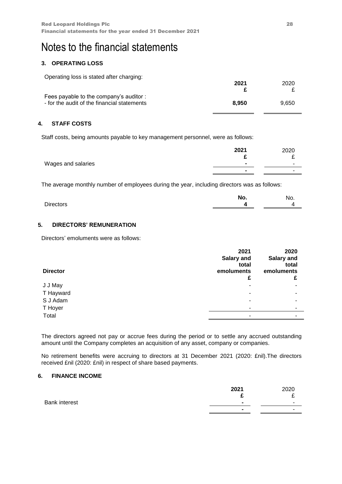## **3. OPERATING LOSS**

| Operating loss is stated after charging:                                              |       |       |
|---------------------------------------------------------------------------------------|-------|-------|
|                                                                                       | 2021  | 2020  |
|                                                                                       |       |       |
| Fees payable to the company's auditor:<br>- for the audit of the financial statements | 8.950 | 9.650 |

## **4. STAFF COSTS**

Staff costs, being amounts payable to key management personnel, were as follows:

|                    | 2021                     | 2020                     |
|--------------------|--------------------------|--------------------------|
|                    | -                        | ~                        |
| Wages and salaries |                          |                          |
|                    | $\overline{\phantom{a}}$ | $\overline{\phantom{a}}$ |

The average monthly number of employees during the year, including directors was as follows:

|                  | NO. | N∩<br>w. |
|------------------|-----|----------|
| <b>Directors</b> |     |          |
|                  |     |          |

## **5. DIRECTORS' REMUNERATION**

Directors' emoluments were as follows:

|                 | 2021                     | 2020              |
|-----------------|--------------------------|-------------------|
|                 | <b>Salary and</b>        | <b>Salary and</b> |
|                 | total                    | total             |
| <b>Director</b> | emoluments               | emoluments        |
|                 | £                        | £                 |
| J J May         | ۰                        |                   |
| T Hayward       | ۰                        |                   |
| S J Adam        | ٠                        |                   |
| T Hoyer         | $\overline{\phantom{a}}$ | ۰                 |
| Total           | ٠                        |                   |
|                 |                          |                   |

The directors agreed not pay or accrue fees during the period or to settle any accrued outstanding amount until the Company completes an acquisition of any asset, company or companies.

No retirement benefits were accruing to directors at 31 December 2021 (2020: £nil).The directors received £nil (2020: £nil) in respect of share based payments.

## **6. FINANCE INCOME**

|                      | 2021           | nnoc                     |
|----------------------|----------------|--------------------------|
|                      |                | $\sim$<br>-              |
| <b>Bank interest</b> | $\blacksquare$ | $\overline{\phantom{0}}$ |
|                      |                | $\overline{\phantom{a}}$ |
|                      |                |                          |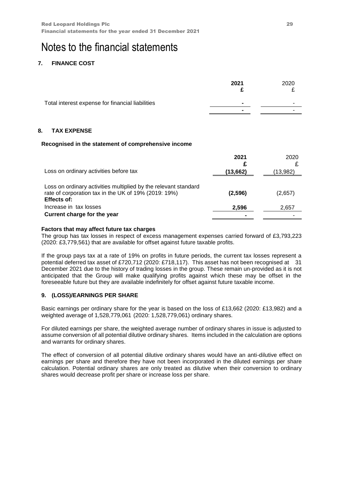## **7. FINANCE COST**

|                                                  | 2021           | 2020 |
|--------------------------------------------------|----------------|------|
| Total interest expense for financial liabilities | $\blacksquare$ | -    |
|                                                  | $\blacksquare$ |      |

## **8. TAX EXPENSE**

### **Recognised in the statement of comprehensive income**

|                                                                                                                                               | 2021     | 2020     |
|-----------------------------------------------------------------------------------------------------------------------------------------------|----------|----------|
| Loss on ordinary activities before tax                                                                                                        | (13,662) | (13,982) |
| Loss on ordinary activities multiplied by the relevant standard<br>rate of corporation tax in the UK of 19% (2019: 19%)<br><b>Effects of:</b> | (2,596)  | (2,657)  |
| Increase in tax losses                                                                                                                        | 2,596    | 2,657    |
| Current charge for the year                                                                                                                   |          |          |

### **Factors that may affect future tax charges**

The group has tax losses in respect of excess management expenses carried forward of £3,793,223 (2020: £3,779,561) that are available for offset against future taxable profits.

If the group pays tax at a rate of 19% on profits in future periods, the current tax losses represent a potential deferred tax asset of £720,712 (2020: £718,117). This asset has not been recognised at 31 December 2021 due to the history of trading losses in the group. These remain un-provided as it is not anticipated that the Group will make qualifying profits against which these may be offset in the foreseeable future but they are available indefinitely for offset against future taxable income.

## **9. (LOSS)/EARNINGS PER SHARE**

Basic earnings per ordinary share for the year is based on the loss of £13,662 (2020: £13,982) and a weighted average of 1,528,779,061 (2020: 1,528,779,061) ordinary shares.

For diluted earnings per share, the weighted average number of ordinary shares in issue is adjusted to assume conversion of all potential dilutive ordinary shares. Items included in the calculation are options and warrants for ordinary shares.

The effect of conversion of all potential dilutive ordinary shares would have an anti-dilutive effect on earnings per share and therefore they have not been incorporated in the diluted earnings per share calculation. Potential ordinary shares are only treated as dilutive when their conversion to ordinary shares would decrease profit per share or increase loss per share.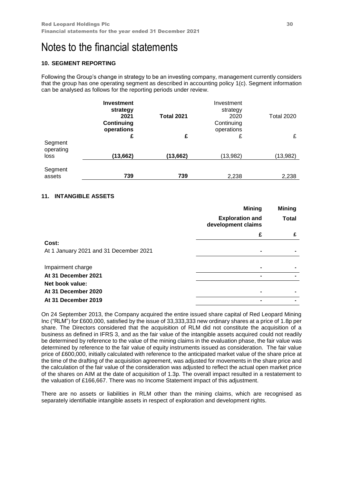## **10. SEGMENT REPORTING**

Following the Group's change in strategy to be an investing company, management currently considers that the group has one operating segment as described in accounting policy 1(c). Segment information can be analysed as follows for the reporting periods under review.

|                      | <b>Investment</b><br>strategy<br>2021<br>Continuing<br>operations<br>£ | <b>Total 2021</b><br>£ | Investment<br>strategy<br>2020<br>Continuing<br>operations<br>£ | <b>Total 2020</b><br>£ |
|----------------------|------------------------------------------------------------------------|------------------------|-----------------------------------------------------------------|------------------------|
| Segment<br>operating |                                                                        |                        |                                                                 |                        |
| loss                 | (13, 662)                                                              | (13,662)               | (13, 982)                                                       | (13,982)               |
| Segment<br>assets    | 739                                                                    | 739                    | 2,238                                                           | 2,238                  |

## **11. INTANGIBLE ASSETS**

|                                        | <b>Mining</b>                                | <b>Mining</b> |
|----------------------------------------|----------------------------------------------|---------------|
|                                        | <b>Exploration and</b><br>development claims | <b>Total</b>  |
|                                        | £                                            | £             |
| Cost:                                  |                                              |               |
| At 1 January 2021 and 31 December 2021 | -                                            |               |
|                                        |                                              |               |
| Impairment charge                      | -                                            |               |
| At 31 December 2021                    |                                              |               |
| Net book value:                        |                                              |               |
| At 31 December 2020                    |                                              |               |
| At 31 December 2019                    |                                              |               |

On 24 September 2013, the Company acquired the entire issued share capital of Red Leopard Mining Inc ("RLM") for £600,000, satisfied by the issue of 33,333,333 new ordinary shares at a price of 1.8p per share. The Directors considered that the acquisition of RLM did not constitute the acquisition of a business as defined in IFRS 3, and as the fair value of the intangible assets acquired could not readily be determined by reference to the value of the mining claims in the evaluation phase, the fair value was determined by reference to the fair value of equity instruments issued as consideration. The fair value price of £600,000, initially calculated with reference to the anticipated market value of the share price at the time of the drafting of the acquisition agreement, was adjusted for movements in the share price and the calculation of the fair value of the consideration was adjusted to reflect the actual open market price of the shares on AIM at the date of acquisition of 1.3p. The overall impact resulted in a restatement to the valuation of £166,667. There was no Income Statement impact of this adjustment.

There are no assets or liabilities in RLM other than the mining claims, which are recognised as separately identifiable intangible assets in respect of exploration and development rights.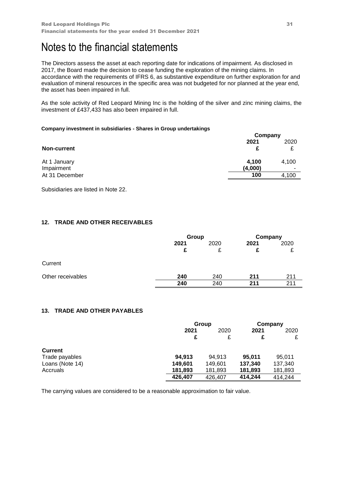The Directors assess the asset at each reporting date for indications of impairment. As disclosed in 2017, the Board made the decision to cease funding the exploration of the mining claims. In accordance with the requirements of IFRS 6, as substantive expenditure on further exploration for and evaluation of mineral resources in the specific area was not budgeted for nor planned at the year end, the asset has been impaired in full.

As the sole activity of Red Leopard Mining Inc is the holding of the silver and zinc mining claims, the investment of £437,433 has also been impaired in full.

#### **Company investment in subsidiaries - Shares in Group undertakings**

|                |         | Company |  |  |
|----------------|---------|---------|--|--|
|                | 2021    | 2020    |  |  |
| Non-current    |         | £       |  |  |
| At 1 January   | 4.100   | 4,100   |  |  |
| Impairment     | (4,000) | -       |  |  |
| At 31 December | 100     | 4,100   |  |  |
|                |         |         |  |  |

Subsidiaries are listed in Note 22.

## **12. TRADE AND OTHER RECEIVABLES**

|                   |           | Group     |           | Company   |
|-------------------|-----------|-----------|-----------|-----------|
|                   | 2021<br>£ | 2020<br>£ | 2021<br>£ | 2020<br>£ |
| Current           |           |           |           |           |
| Other receivables | 240       | 240       | 211       | 211       |
|                   | 240       | 240       | 211       | 21        |

## **13. TRADE AND OTHER PAYABLES**

|                 | Group   |         |         | Company |
|-----------------|---------|---------|---------|---------|
|                 | 2021    | 2020    | 2021    | 2020    |
|                 | £       | £       | £       |         |
| <b>Current</b>  |         |         |         |         |
| Trade payables  | 94.913  | 94.913  | 95,011  | 95.011  |
| Loans (Note 14) | 149,601 | 149,601 | 137,340 | 137,340 |
| Accruals        | 181,893 | 181,893 | 181,893 | 181,893 |
|                 | 426.407 | 426,407 | 414.244 | 414.244 |

The carrying values are considered to be a reasonable approximation to fair value.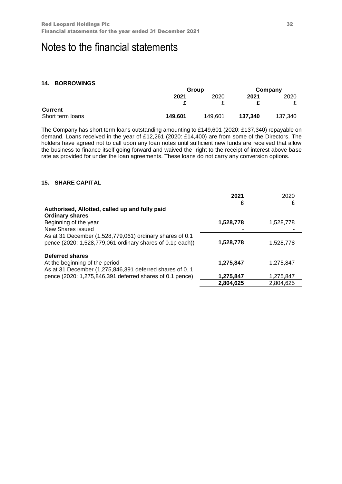### **14. BORROWINGS**

|                  |         | Group   |         | Company |  |
|------------------|---------|---------|---------|---------|--|
|                  | 2021    | 2020    | 2021    | 2020    |  |
|                  | -       |         |         |         |  |
| <b>Current</b>   |         |         |         |         |  |
| Short term loans | 149.601 | 149.601 | 137.340 | 137,340 |  |
|                  |         |         |         |         |  |

The Company has short term loans outstanding amounting to £149,601 (2020: £137,340) repayable on demand. Loans received in the year of £12,261 (2020: £14,400) are from some of the Directors. The holders have agreed not to call upon any loan notes until sufficient new funds are received that allow the business to finance itself going forward and waived the right to the receipt of interest above base rate as provided for under the loan agreements. These loans do not carry any conversion options.

### **15. SHARE CAPITAL**

|                                                           | 2021<br>£ | 2020<br>£ |
|-----------------------------------------------------------|-----------|-----------|
| Authorised, Allotted, called up and fully paid            |           |           |
| <b>Ordinary shares</b>                                    |           |           |
| Beginning of the year                                     | 1,528,778 | 1,528,778 |
| New Shares issued                                         |           |           |
| As at 31 December (1,528,779,061) ordinary shares of 0.1  |           |           |
| pence (2020: 1,528,779,061 ordinary shares of 0.1p each)) | 1,528,778 | 1,528,778 |
|                                                           |           |           |
| Deferred shares                                           |           |           |
| At the beginning of the period                            | 1,275,847 | 1,275,847 |
| As at 31 December (1,275,846,391 deferred shares of 0.1   |           |           |
| pence (2020: 1,275,846,391 deferred shares of 0.1 pence)  | 1,275,847 | 1,275,847 |
|                                                           | 2,804,625 | 2,804,625 |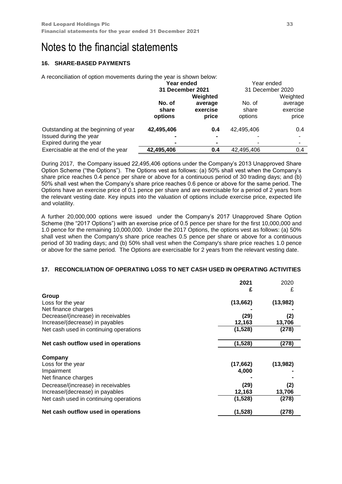## **16. SHARE-BASED PAYMENTS**

A reconciliation of option movements during the year is shown below:

|                                      | Year ended<br>31 December 2021 |                | Year ended<br>31 December 2020 |          |
|--------------------------------------|--------------------------------|----------------|--------------------------------|----------|
|                                      |                                |                |                                |          |
|                                      | Weighted                       |                |                                | Weighted |
|                                      | No. of                         | average        | No. of                         | average  |
|                                      | share                          | exercise       | share                          | exercise |
|                                      | options                        | price          | options                        | price    |
| Outstanding at the beginning of year | 42.495.406                     | 0.4            | 42.495.406                     | 0.4      |
| Issued during the year               |                                |                |                                |          |
| Expired during the year              |                                | $\blacksquare$ |                                |          |
| Exercisable at the end of the year   | 42,495,406                     | 0.4            | 42,495,406                     | 0.4      |

During 2017, the Company issued 22,495,406 options under the Company's 2013 Unapproved Share Option Scheme ("the Options"). The Options vest as follows: (a) 50% shall vest when the Company's share price reaches 0.4 pence per share or above for a continuous period of 30 trading days; and (b) 50% shall vest when the Company's share price reaches 0.6 pence or above for the same period. The Options have an exercise price of 0.1 pence per share and are exercisable for a period of 2 years from the relevant vesting date. Key inputs into the valuation of options include exercise price, expected life and volatility.

A further 20,000,000 options were issued under the Company's 2017 Unapproved Share Option Scheme (the "2017 Options") with an exercise price of 0.5 pence per share for the first 10,000,000 and 1.0 pence for the remaining 10,000,000. Under the 2017 Options, the options vest as follows: (a) 50% shall vest when the Company's share price reaches 0.5 pence per share or above for a continuous period of 30 trading days; and (b) 50% shall vest when the Company's share price reaches 1.0 pence or above for the same period. The Options are exercisable for 2 years from the relevant vesting date.

## **17. RECONCILIATION OF OPERATING LOSS TO NET CASH USED IN OPERATING ACTIVITIES**

|                                        | 2021     | 2020      |
|----------------------------------------|----------|-----------|
| Group                                  | £        | £         |
| Loss for the year                      | (13,662) | (13, 982) |
| Net finance charges                    |          |           |
| Decrease/(increase) in receivables     | (29)     | (2)       |
| Increase/(decrease) in payables        | 12,163   | 13,706    |
| Net cash used in continuing operations | (1,528)  | (278)     |
| Net cash outflow used in operations    | (1, 528) | (278)     |
| Company                                |          |           |
| Loss for the year                      | (17,662) | (13,982)  |
| Impairment                             | 4,000    |           |
| Net finance charges                    |          |           |
| Decrease/(increase) in receivables     | (29)     | (2)       |
| Increase/(decrease) in payables        | 12,163   | 13,706    |
| Net cash used in continuing operations | (1,528)  | (278)     |
| Net cash outflow used in operations    | (1,528)  | (278)     |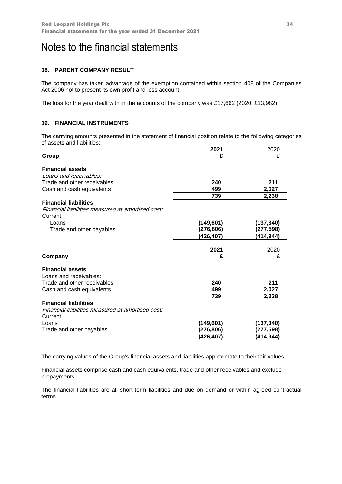## **18. PARENT COMPANY RESULT**

The company has taken advantage of the exemption contained within section 408 of the Companies Act 2006 not to present its own profit and loss account.

The loss for the year dealt with in the accounts of the company was £17,662 (2020: £13,982).

## **19. FINANCIAL INSTRUMENTS**

The carrying amounts presented in the statement of financial position relate to the following categories of assets and liabilities:

|                                                   | 2021       | 2020       |
|---------------------------------------------------|------------|------------|
| Group                                             | £          | £          |
| <b>Financial assets</b>                           |            |            |
| Loans and receivables:                            |            |            |
| Trade and other receivables                       | 240        | 211        |
| Cash and cash equivalents                         | 499        | 2,027      |
|                                                   | 739        | 2,238      |
| <b>Financial liabilities</b>                      |            |            |
| Financial liabilities measured at amortised cost: |            |            |
| Current:                                          |            |            |
| Loans                                             | (149, 601) | (137, 340) |
| Trade and other payables                          | (276,806)  | (277,598)  |
|                                                   | (426, 407) | (414,944)  |
|                                                   |            |            |
|                                                   | 2021<br>£  | 2020<br>£  |
| Company                                           |            |            |
| <b>Financial assets</b>                           |            |            |
| Loans and receivables:                            |            |            |
| Trade and other receivables                       | 240        | 211        |
| Cash and cash equivalents                         | 499        | 2,027      |
|                                                   | 739        | 2,238      |
| <b>Financial liabilities</b>                      |            |            |
| Financial liabilities measured at amortised cost: |            |            |
| Current:                                          |            |            |
| Loans                                             | (149, 601) | (137, 340) |
| Trade and other payables                          | (276,806)  | (277,598)  |
|                                                   | (426,407)  | (414,944)  |

The carrying values of the Group's financial assets and liabilities approximate to their fair values.

Financial assets comprise cash and cash equivalents, trade and other receivables and exclude prepayments.

The financial liabilities are all short-term liabilities and due on demand or within agreed contractual terms.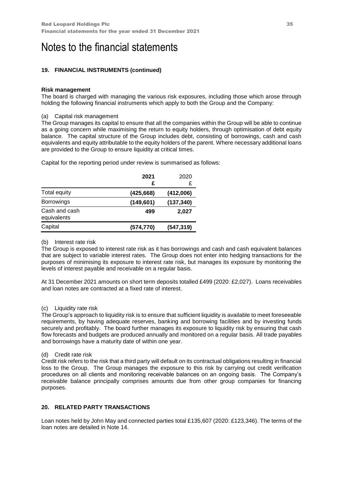## **19. FINANCIAL INSTRUMENTS (continued)**

### **Risk management**

The board is charged with managing the various risk exposures, including those which arose through holding the following financial instruments which apply to both the Group and the Company:

#### (a) Capital risk management

The Group manages its capital to ensure that all the companies within the Group will be able to continue as a going concern while maximising the return to equity holders, through optimisation of debt equity balance. The capital structure of the Group includes debt, consisting of borrowings, cash and cash equivalents and equity attributable to the equity holders of the parent. Where necessary additional loans are provided to the Group to ensure liquidity at critical times.

Capital for the reporting period under review is summarised as follows:

|                              | 2021<br>£  | 2020<br>£  |
|------------------------------|------------|------------|
| Total equity                 | (425, 668) | (412,006)  |
| <b>Borrowings</b>            | (149, 601) | (137, 340) |
| Cash and cash<br>equivalents | 499        | 2,027      |
| Capital                      | (574, 770) | (547, 319) |

## (b) Interest rate risk

The Group is exposed to interest rate risk as it has borrowings and cash and cash equivalent balances that are subject to variable interest rates. The Group does not enter into hedging transactions for the purposes of minimising its exposure to interest rate risk, but manages its exposure by monitoring the levels of interest payable and receivable on a regular basis.

At 31 December 2021 amounts on short term deposits totalled £499 (2020: £2,027). Loans receivables and loan notes are contracted at a fixed rate of interest.

#### (c) Liquidity rate risk

The Group's approach to liquidity risk is to ensure that sufficient liquidity is available to meet foreseeable requirements, by having adequate reserves, banking and borrowing facilities and by investing funds securely and profitably. The board further manages its exposure to liquidity risk by ensuring that cash flow forecasts and budgets are produced annually and monitored on a regular basis. All trade payables and borrowings have a maturity date of within one year.

#### (d) Credit rate risk

Credit risk refers to the risk that a third party will default on its contractual obligations resulting in financial loss to the Group. The Group manages the exposure to this risk by carrying out credit verification procedures on all clients and monitoring receivable balances on an ongoing basis. The Company's receivable balance principally comprises amounts due from other group companies for financing purposes.

## **20. RELATED PARTY TRANSACTIONS**

Loan notes held by John May and connected parties total £135,607 (2020: £123,346). The terms of the loan notes are detailed in Note 14.